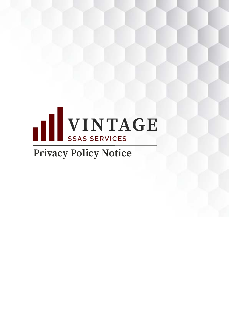

# **Privacy Policy Notice**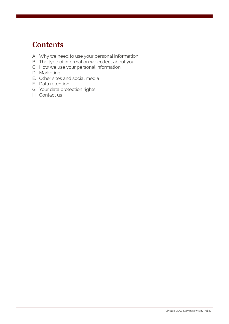# **Contents**

- A. Why we need to use your personal information
- B. The type of information we collect about you
- C. How we use your personal information
- D. Marketing
- E. Other sites and social media
- F. Data retention
- G. Your data protection rights
- H. Contact us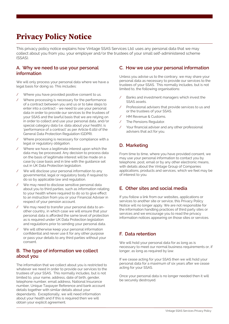# Privacy Policy Notice

This privacy policy notice explains how Vintage SSAS Services Ltd. uses any personal data that we may collect about you from you, your employer and/or the trustees of your small self-administered scheme (SSAS).

#### **A. Why we need to use your personal information**

We will only process your personal data where we have a legal basis for doing so. This includes:

- / Where you have provided positive consent to us.
- / Where processing is necessary for the performance of a contract between you and us or to take steps to enter into a contract - we need to use your personal data in order to provide our services to the trustees of your SSAS and the lawful basis that we are relying on in order to collect and use your personal data, and/or special category data (i.e. data about your health), is 'performance of a contract' as per Article 6.1(b) of the General Data Protection Regulation (GDPR).
- / Where processing is necessary for compliance with a legal or regulatory obligation.
- Where we have a legitimate interest upon which the data may be processed. Any decision to process data on the basis of legitimate interest will be made on a case by case basis and in line with the guidance set out in UK Data Protection legislation.
- We will disclose your personal information to any governmental, legal or regulatory body if required to do so by applicable law and regulation.
- We may need to disclose sensitive personal data about you to third parties, such as information relating to your health where required to do so to give effect to an instruction from you or your Financial Adviser in respect of your pension account.
- We may need to transfer your personal data to another country, in which case we will ensure that your personal data is afforded the same level of protection as is required under UK Data Protection legislation and regulations prior to sending your personal data.
- We will otherwise keep your personal information confidential and never use it for any other purpose or pass your details to any third parties without your consent.

## **B. The type of information we collect about you**

The information that we collect about you is restricted to whatever we need in order to provide our services to the trustees of your SSAS. This normally includes, but is not limited to, your name, address, date of birth, gender, telephone number, email address, National Insurance number, Unique Taxpayer Reference and bank account details together with similar details about your dependants. Exceptionally, we will need information about your health and if this is required then we will obtain your explicit agreement.

#### **C. How we use your personal information**

Unless you advise us to the contrary, we may share your personal data as necessary to provide our services to the trustees of your SSAS. This normally includes, but is not limited to, the following organisations:

- / Banks and investment managers which invest the SSAS assets.
- Professional advisers that provide services to us and or the trustees of your SSAS.
- / HM Revenue & Customs.
- The Pensions Regulator.
- Your financial adviser and any other professional advisers that act for you.

# **D. Marketing**

From time to time, where you have provided consent, we may use your personal information to contact you by telephone, post, email or by any other electronic means, with details about the Vintage Group of Companies applications, products and services, which we feel may be of interest to you.

## **E. Other sites and social media**

If you follow a link from our websites, applications or services to another site or service, this Privacy Policy Notice will no longer apply. We are not responsible for the information handling practices of third party sites or services and we encourage you to read the privacy information notices appearing on those sites or services.

# **F. Data retention**

We will hold your personal data for as long as is necessary to meet our normal business requirements or, if longer, as long as required by law.

If we cease acting for your SSAS then we will hold your personal data for a maximum of six years after we cease acting for your SSAS.

Once your personal data is no longer needed then it will be securely destroyed.